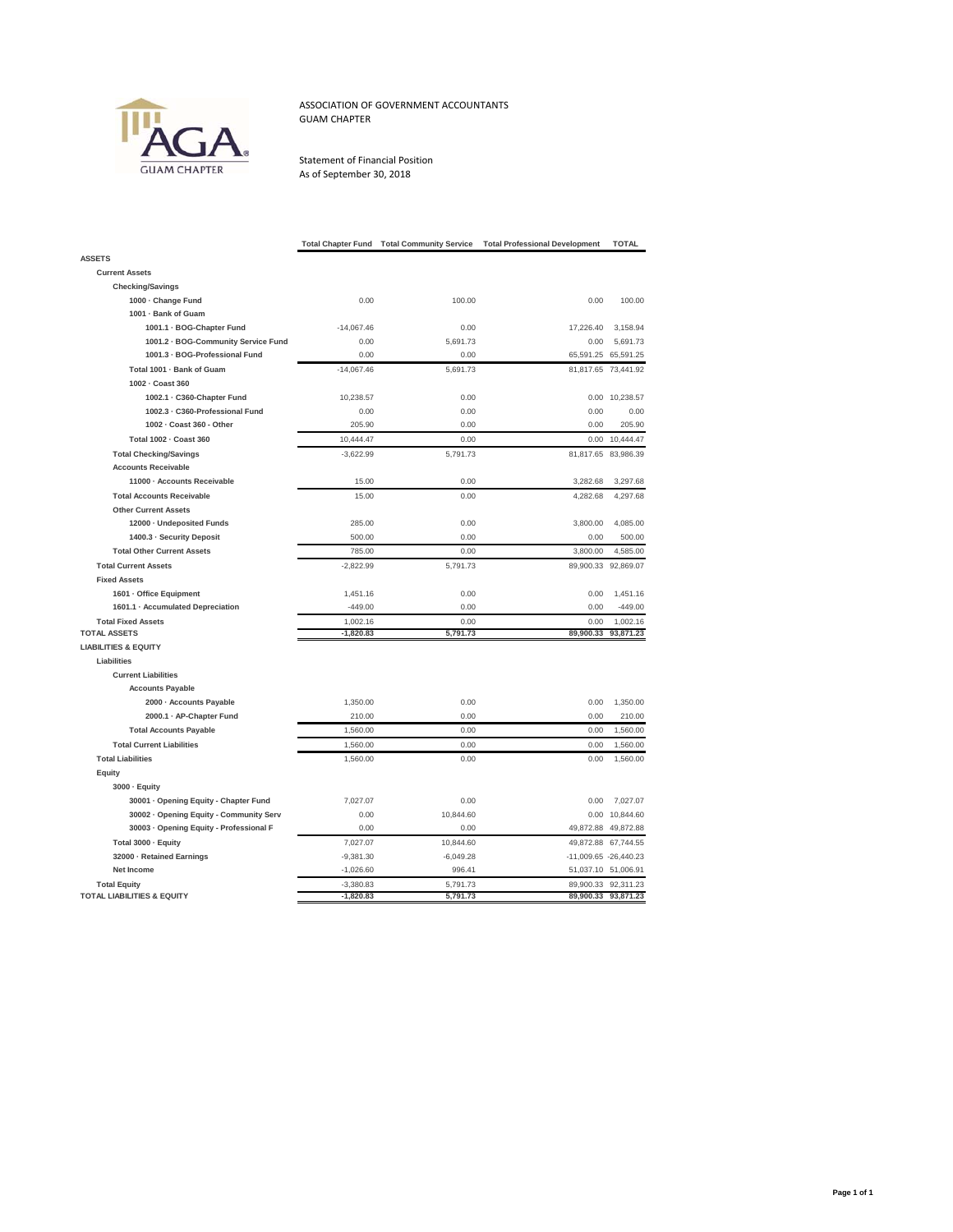

ASSOCIATION OF GOVERNMENT ACCOUNTANTS GUAM CHAPTER

Statement of Financial Position As of September 30, 2018

|                                         | <b>Total Chapter Fund</b> | <b>Total Community Service</b> | <b>Total Professional Development</b> | <b>TOTAL</b>          |
|-----------------------------------------|---------------------------|--------------------------------|---------------------------------------|-----------------------|
| <b>ASSETS</b>                           |                           |                                |                                       |                       |
| <b>Current Assets</b>                   |                           |                                |                                       |                       |
| <b>Checking/Savings</b>                 |                           |                                |                                       |                       |
| 1000 - Change Fund                      | 0.00                      | 100.00                         | 0.00                                  | 100.00                |
| 1001 - Bank of Guam                     |                           |                                |                                       |                       |
| 1001.1 · BOG-Chapter Fund               | $-14,067.46$              | 0.00                           | 17,226.40                             | 3,158.94              |
| 1001.2 - BOG-Community Service Fund     | 0.00                      | 5,691.73                       | 0.00                                  | 5,691.73              |
| 1001.3 - BOG-Professional Fund          | 0.00                      | 0.00                           | 65,591.25                             | 65,591.25             |
| Total 1001 - Bank of Guam               | $-14,067.46$              | 5,691.73                       |                                       | 81,817.65 73,441.92   |
| 1002 - Coast 360                        |                           |                                |                                       |                       |
| 1002.1 - C360-Chapter Fund              | 10,238.57                 | 0.00                           | 0.00                                  | 10,238.57             |
| 1002.3 - C360-Professional Fund         | 0.00                      | 0.00                           | 0.00                                  | 0.00                  |
| 1002 - Coast 360 - Other                | 205.90                    | 0.00                           | 0.00                                  | 205.90                |
| Total 1002 - Coast 360                  | 10,444.47                 | 0.00                           | 0.00                                  | 10,444.47             |
| <b>Total Checking/Savings</b>           | $-3,622.99$               | 5,791.73                       | 81,817.65                             | 83,986.39             |
| <b>Accounts Receivable</b>              |                           |                                |                                       |                       |
| 11000 - Accounts Receivable             | 15.00                     | 0.00                           | 3,282.68                              | 3,297.68              |
| <b>Total Accounts Receivable</b>        | 15.00                     | 0.00                           | 4,282.68                              | 4,297.68              |
| <b>Other Current Assets</b>             |                           |                                |                                       |                       |
| 12000 · Undeposited Funds               | 285.00                    | 0.00                           | 3,800.00                              | 4,085.00              |
| 1400.3 · Security Deposit               | 500.00                    | 0.00                           | 0.00                                  | 500.00                |
| <b>Total Other Current Assets</b>       | 785.00                    | 0.00                           | 3,800.00                              | 4,585.00              |
| <b>Total Current Assets</b>             | $-2,822.99$               | 5,791.73                       | 89,900.33                             | 92,869.07             |
| <b>Fixed Assets</b>                     |                           |                                |                                       |                       |
| 1601 · Office Equipment                 | 1,451.16                  | 0.00                           | 0.00                                  | 1,451.16              |
| 1601.1 · Accumulated Depreciation       | $-449.00$                 | 0.00                           | 0.00                                  | $-449.00$             |
| <b>Total Fixed Assets</b>               | 1.002.16                  | 0.00                           | 0.00                                  | 1.002.16              |
| <b>TOTAL ASSETS</b>                     | $-1,820.83$               | 5,791.73                       | 89,900.33                             | 93,871.23             |
| <b>LIABILITIES &amp; EQUITY</b>         |                           |                                |                                       |                       |
| Liabilities                             |                           |                                |                                       |                       |
| <b>Current Liabilities</b>              |                           |                                |                                       |                       |
| <b>Accounts Payable</b>                 |                           |                                |                                       |                       |
| 2000 - Accounts Payable                 | 1,350.00                  | 0.00                           | 0.00                                  | 1,350.00              |
| 2000.1 · AP-Chapter Fund                | 210.00                    | 0.00                           | 0.00                                  | 210.00                |
| <b>Total Accounts Payable</b>           | 1,560.00                  | 0.00                           | 0.00                                  | 1,560.00              |
| <b>Total Current Liabilities</b>        | 1,560.00                  | 0.00                           | 0.00                                  | 1,560.00              |
| <b>Total Liabilities</b>                | 1,560.00                  | 0.00                           | 0.00                                  | 1,560.00              |
| Equity                                  |                           |                                |                                       |                       |
| 3000 · Equity                           |                           |                                |                                       |                       |
| 30001 · Opening Equity - Chapter Fund   | 7,027.07                  | 0.00                           | 0.00                                  | 7,027.07              |
| 30002 · Opening Equity - Community Serv | 0.00                      | 10,844.60                      |                                       | 0.00 10,844.60        |
| 30003 · Opening Equity - Professional F | 0.00                      | 0.00                           |                                       | 49,872.88 49,872.88   |
| Total 3000 - Equity                     | 7,027.07                  | 10,844.60                      |                                       | 49,872.88 67,744.55   |
| 32000 - Retained Earnings               | $-9,381.30$               | $-6,049.28$                    |                                       | -11,009.65 -26,440.23 |
| Net Income                              | $-1,026.60$               | 996.41                         |                                       | 51,037.10 51,006.91   |
| <b>Total Equity</b>                     | $-3,380.83$               | 5,791.73                       |                                       | 89,900.33 92,311.23   |
| <b>TOTAL LIABILITIES &amp; EQUITY</b>   | $-1,820.83$               | 5,791.73                       |                                       | 89,900.33 93,871.23   |